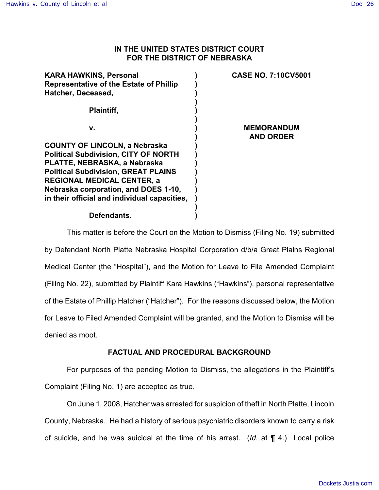#### **IN THE UNITED STATES DISTRICT COURT FOR THE DISTRICT OF NEBRASKA**

| KARA HAWKINS, Personal<br><b>Representative of the Estate of Phillip</b> | <b>CASE NO. 7:10CV5001</b>            |
|--------------------------------------------------------------------------|---------------------------------------|
| Hatcher, Deceased,                                                       |                                       |
| Plaintiff,                                                               |                                       |
| v.                                                                       | <b>MEMORANDUM</b><br><b>AND ORDER</b> |
| <b>COUNTY OF LINCOLN, a Nebraska</b>                                     |                                       |
| <b>Political Subdivision, CITY OF NORTH</b>                              |                                       |
| PLATTE, NEBRASKA, a Nebraska                                             |                                       |
| <b>Political Subdivision, GREAT PLAINS</b>                               |                                       |
| REGIONAL MEDICAL CENTER, a                                               |                                       |
| Nebraska corporation, and DOES 1-10,                                     |                                       |
| in their official and individual capacities,                             |                                       |
| Defendants.                                                              |                                       |

This matter is before the Court on the Motion to Dismiss (Filing No. 19) submitted by Defendant North Platte Nebraska Hospital Corporation d/b/a Great Plains Regional Medical Center (the "Hospital"), and the Motion for Leave to File Amended Complaint (Filing No. 22), submitted by Plaintiff Kara Hawkins ("Hawkins"), personal representative of the Estate of Phillip Hatcher ("Hatcher"). For the reasons discussed below, the Motion for Leave to Filed Amended Complaint will be granted, and the Motion to Dismiss will be denied as moot.

## **FACTUAL AND PROCEDURAL BACKGROUND**

For purposes of the pending Motion to Dismiss, the allegations in the Plaintiff's Complaint (Filing No. 1) are accepted as true.

On June 1, 2008, Hatcher was arrested for suspicion of theft in North Platte, Lincoln County, Nebraska. He had a history of serious psychiatric disorders known to carry a risk of suicide, and he was suicidal at the time of his arrest. (*Id*. at ¶ 4.) Local police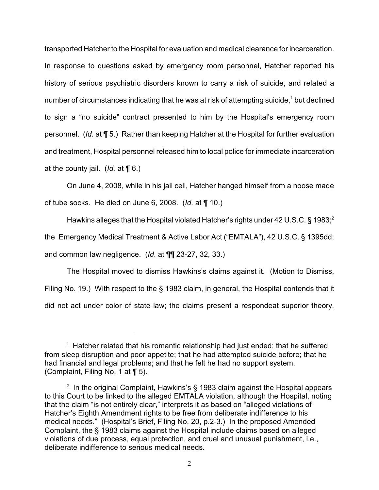transported Hatcher to the Hospital for evaluation and medical clearance for incarceration. In response to questions asked by emergency room personnel, Hatcher reported his history of serious psychiatric disorders known to carry a risk of suicide, and related a number of circumstances indicating that he was at risk of attempting suicide, $^{\text{1}}$  but declined to sign a "no suicide" contract presented to him by the Hospital's emergency room personnel. (*Id*. at ¶ 5.) Rather than keeping Hatcher at the Hospital for further evaluation and treatment, Hospital personnel released him to local police for immediate incarceration at the county jail. (*Id.* at ¶ 6.)

On June 4, 2008, while in his jail cell, Hatcher hanged himself from a noose made of tube socks. He died on June 6, 2008. (*Id*. at ¶ 10.)

Hawkins alleges that the Hospital violated Hatcher's rights under 42 U.S.C. § 1983;<sup>2</sup> the Emergency Medical Treatment & Active Labor Act ("EMTALA"), 42 U.S.C. § 1395dd; and common law negligence. (*Id*. at ¶¶ 23-27, 32, 33.)

The Hospital moved to dismiss Hawkins's claims against it. (Motion to Dismiss, Filing No. 19.) With respect to the § 1983 claim, in general, the Hospital contends that it did not act under color of state law; the claims present a respondeat superior theory,

 $1$  Hatcher related that his romantic relationship had just ended; that he suffered from sleep disruption and poor appetite; that he had attempted suicide before; that he had financial and legal problems; and that he felt he had no support system. (Complaint, Filing No. 1 at ¶ 5).

<sup>&</sup>lt;sup>2</sup> In the original Complaint, Hawkins's § 1983 claim against the Hospital appears to this Court to be linked to the alleged EMTALA violation, although the Hospital, noting that the claim "is not entirely clear," interprets it as based on "alleged violations of Hatcher's Eighth Amendment rights to be free from deliberate indifference to his medical needs." (Hospital's Brief, Filing No. 20, p.2-3.) In the proposed Amended Complaint, the § 1983 claims against the Hospital include claims based on alleged violations of due process, equal protection, and cruel and unusual punishment, i.e., deliberate indifference to serious medical needs.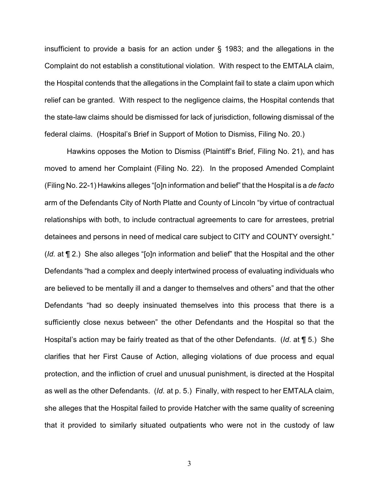insufficient to provide a basis for an action under § 1983; and the allegations in the Complaint do not establish a constitutional violation. With respect to the EMTALA claim, the Hospital contends that the allegations in the Complaint fail to state a claim upon which relief can be granted. With respect to the negligence claims, the Hospital contends that the state-law claims should be dismissed for lack of jurisdiction, following dismissal of the federal claims. (Hospital's Brief in Support of Motion to Dismiss, Filing No. 20.)

Hawkins opposes the Motion to Dismiss (Plaintiff's Brief, Filing No. 21), and has moved to amend her Complaint (Filing No. 22). In the proposed Amended Complaint (Filing No. 22-1) Hawkins alleges "[o]n information and belief" that the Hospital is a *de facto* arm of the Defendants City of North Platte and County of Lincoln "by virtue of contractual relationships with both, to include contractual agreements to care for arrestees, pretrial detainees and persons in need of medical care subject to CITY and COUNTY oversight." (*Id.* at ¶ 2.) She also alleges "[o]n information and belief" that the Hospital and the other Defendants "had a complex and deeply intertwined process of evaluating individuals who are believed to be mentally ill and a danger to themselves and others" and that the other Defendants "had so deeply insinuated themselves into this process that there is a sufficiently close nexus between" the other Defendants and the Hospital so that the Hospital's action may be fairly treated as that of the other Defendants. (*Id*. at ¶ 5.) She clarifies that her First Cause of Action, alleging violations of due process and equal protection, and the infliction of cruel and unusual punishment, is directed at the Hospital as well as the other Defendants. (*Id*. at p. 5.) Finally, with respect to her EMTALA claim, she alleges that the Hospital failed to provide Hatcher with the same quality of screening that it provided to similarly situated outpatients who were not in the custody of law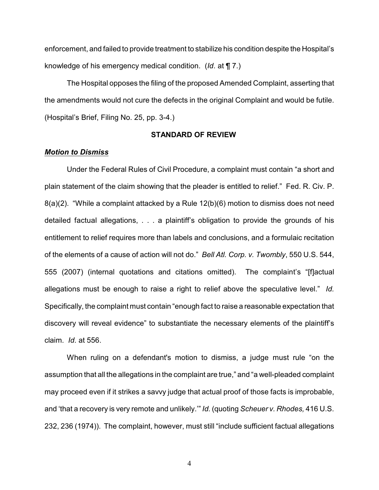enforcement, and failed to provide treatment to stabilize his condition despite the Hospital's knowledge of his emergency medical condition. (*Id*. at ¶ 7.)

The Hospital opposes the filing of the proposed Amended Complaint, asserting that the amendments would not cure the defects in the original Complaint and would be futile. (Hospital's Brief, Filing No. 25, pp. 3-4.)

#### **STANDARD OF REVIEW**

#### *Motion to Dismiss*

Under the Federal Rules of Civil Procedure, a complaint must contain "a short and plain statement of the claim showing that the pleader is entitled to relief." Fed. R. Civ. P. 8(a)(2). "While a complaint attacked by a Rule 12(b)(6) motion to dismiss does not need detailed factual allegations, . . . a plaintiff's obligation to provide the grounds of his entitlement to relief requires more than labels and conclusions, and a formulaic recitation of the elements of a cause of action will not do." *Bell Atl. Corp. v. Twombly*, 550 U.S. 544, 555 (2007) (internal quotations and citations omitted). The complaint's "[f]actual allegations must be enough to raise a right to relief above the speculative level." *Id.* Specifically, the complaint must contain "enough fact to raise a reasonable expectation that discovery will reveal evidence" to substantiate the necessary elements of the plaintiff's claim. *Id*. at 556.

When ruling on a defendant's motion to dismiss, a judge must rule "on the assumption that all the allegations in the complaint are true," and "a well-pleaded complaint may proceed even if it strikes a savvy judge that actual proof of those facts is improbable, and 'that a recovery is very remote and unlikely.'" *Id.* (quoting *Scheuer v. Rhodes,* 416 U.S. 232, 236 (1974)). The complaint, however, must still "include sufficient factual allegations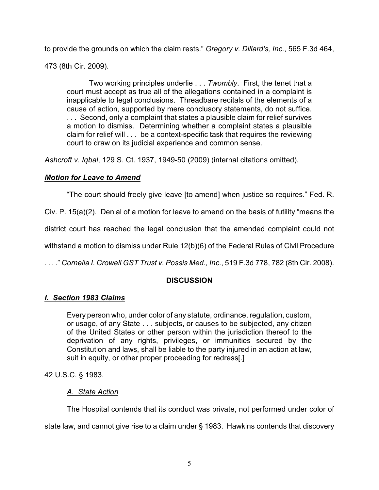to provide the grounds on which the claim rests." *Gregory v. Dillard's, Inc.*, 565 F.3d 464,

473 (8th Cir. 2009).

Two working principles underlie . . . *Twombly*. First, the tenet that a court must accept as true all of the allegations contained in a complaint is inapplicable to legal conclusions. Threadbare recitals of the elements of a cause of action, supported by mere conclusory statements, do not suffice. . . . Second, only a complaint that states a plausible claim for relief survives a motion to dismiss. Determining whether a complaint states a plausible claim for relief will . . . be a context-specific task that requires the reviewing court to draw on its judicial experience and common sense.

*Ashcroft v. Iqbal*, 129 S. Ct. 1937, 1949-50 (2009) (internal citations omitted).

# *Motion for Leave to Amend*

"The court should freely give leave [to amend] when justice so requires." Fed. R.

Civ. P. 15(a)(2). Denial of a motion for leave to amend on the basis of futility "means the

district court has reached the legal conclusion that the amended complaint could not

withstand a motion to dismiss under Rule 12(b)(6) of the Federal Rules of Civil Procedure

. . . ." *Cornelia I. Crowell GST Trust v. Possis Med., Inc*., 519 F.3d 778, 782 (8th Cir. 2008).

## **DISCUSSION**

## *I. Section 1983 Claims*

Every person who, under color of any statute, ordinance, regulation, custom, or usage, of any State . . . subjects, or causes to be subjected, any citizen of the United States or other person within the jurisdiction thereof to the deprivation of any rights, privileges, or immunities secured by the Constitution and laws, shall be liable to the party injured in an action at law, suit in equity, or other proper proceeding for redress[.]

42 U.S.C. § 1983.

## *A. State Action*

The Hospital contends that its conduct was private, not performed under color of

state law, and cannot give rise to a claim under § 1983. Hawkins contends that discovery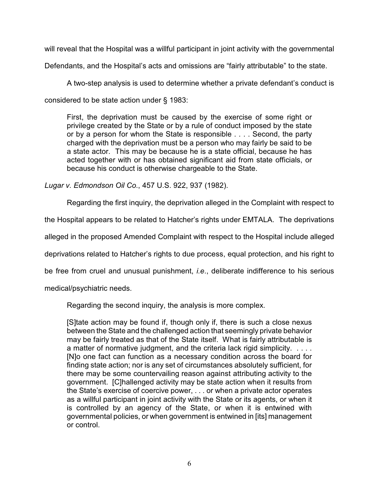will reveal that the Hospital was a willful participant in joint activity with the governmental

Defendants, and the Hospital's acts and omissions are "fairly attributable" to the state.

A two-step analysis is used to determine whether a private defendant's conduct is considered to be state action under § 1983:

First, the deprivation must be caused by the exercise of some right or privilege created by the State or by a rule of conduct imposed by the state or by a person for whom the State is responsible . . . . Second, the party charged with the deprivation must be a person who may fairly be said to be a state actor. This may be because he is a state official, because he has acted together with or has obtained significant aid from state officials, or because his conduct is otherwise chargeable to the State.

*Lugar v. Edmondson Oil Co.*, 457 U.S. 922, 937 (1982).

Regarding the first inquiry, the deprivation alleged in the Complaint with respect to

the Hospital appears to be related to Hatcher's rights under EMTALA. The deprivations

alleged in the proposed Amended Complaint with respect to the Hospital include alleged

deprivations related to Hatcher's rights to due process, equal protection, and his right to

be free from cruel and unusual punishment, *i.e*., deliberate indifference to his serious

medical/psychiatric needs.

Regarding the second inquiry, the analysis is more complex.

[S]tate action may be found if, though only if, there is such a close nexus between the State and the challenged action that seemingly private behavior may be fairly treated as that of the State itself. What is fairly attributable is a matter of normative judgment, and the criteria lack rigid simplicity. . . . . [N]o one fact can function as a necessary condition across the board for finding state action; nor is any set of circumstances absolutely sufficient, for there may be some countervailing reason against attributing activity to the government. [C]hallenged activity may be state action when it results from the State's exercise of coercive power, . . . or when a private actor operates as a willful participant in joint activity with the State or its agents, or when it is controlled by an agency of the State, or when it is entwined with governmental policies, or when government is entwined in [its] management or control.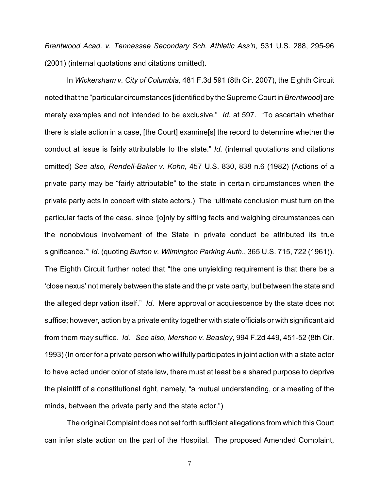*Brentwood Acad. v. Tennessee Secondary Sch. Athletic Ass'n,* 531 U.S. 288, 295-96 (2001) (internal quotations and citations omitted).

In *Wickersham v. City of Columbia,* 481 F.3d 591 (8th Cir. 2007), the Eighth Circuit noted that the "particular circumstances [identified by the Supreme Court in *Brentwood*] are merely examples and not intended to be exclusive." *Id.* at 597. "To ascertain whether there is state action in a case, [the Court] examine[s] the record to determine whether the conduct at issue is fairly attributable to the state." *Id.* (internal quotations and citations omitted) *See also*, *Rendell-Baker v. Kohn*, 457 U.S. 830, 838 n.6 (1982) (Actions of a private party may be "fairly attributable" to the state in certain circumstances when the private party acts in concert with state actors.) The "ultimate conclusion must turn on the particular facts of the case, since '[o]nly by sifting facts and weighing circumstances can the nonobvious involvement of the State in private conduct be attributed its true significance.'" *Id.* (quoting *Burton v. Wilmington Parking Auth*., 365 U.S. 715, 722 (1961)). The Eighth Circuit further noted that "the one unyielding requirement is that there be a 'close nexus' not merely between the state and the private party, but between the state and the alleged deprivation itself." *Id*. Mere approval or acquiescence by the state does not suffice; however, action by a private entity together with state officials or with significant aid from them *may* suffice. *Id. See also, Mershon v. Beasley*, 994 F.2d 449, 451-52 (8th Cir. 1993) (In order for a private person who willfully participates in joint action with a state actor to have acted under color of state law, there must at least be a shared purpose to deprive the plaintiff of a constitutional right, namely, "a mutual understanding, or a meeting of the minds, between the private party and the state actor.")

The original Complaint does not set forth sufficient allegations from which this Court can infer state action on the part of the Hospital. The proposed Amended Complaint,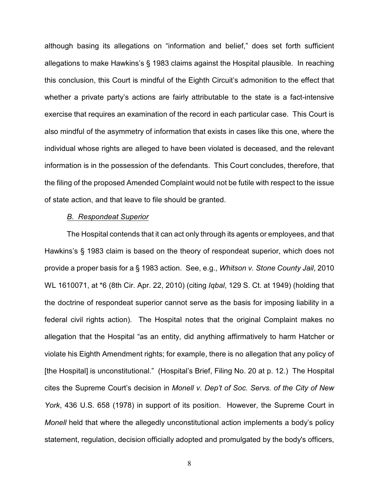although basing its allegations on "information and belief," does set forth sufficient allegations to make Hawkins's § 1983 claims against the Hospital plausible. In reaching this conclusion, this Court is mindful of the Eighth Circuit's admonition to the effect that whether a private party's actions are fairly attributable to the state is a fact-intensive exercise that requires an examination of the record in each particular case. This Court is also mindful of the asymmetry of information that exists in cases like this one, where the individual whose rights are alleged to have been violated is deceased, and the relevant information is in the possession of the defendants. This Court concludes, therefore, that the filing of the proposed Amended Complaint would not be futile with respect to the issue of state action, and that leave to file should be granted.

#### *B. Respondeat Superior*

The Hospital contends that it can act only through its agents or employees, and that Hawkins's § 1983 claim is based on the theory of respondeat superior, which does not provide a proper basis for a § 1983 action. See, e.g., *Whitson v. Stone County Jail*, 2010 WL 1610071, at \*6 (8th Cir. Apr. 22, 2010) (citing *Iqbal*, 129 S. Ct. at 1949) (holding that the doctrine of respondeat superior cannot serve as the basis for imposing liability in a federal civil rights action). The Hospital notes that the original Complaint makes no allegation that the Hospital "as an entity, did anything affirmatively to harm Hatcher or violate his Eighth Amendment rights; for example, there is no allegation that any policy of [the Hospital] is unconstitutional." (Hospital's Brief, Filing No. 20 at p. 12.) The Hospital cites the Supreme Court's decision in *Monell v. Dep't of Soc. Servs. of the City of New York*, 436 U.S. 658 (1978) in support of its position. However, the Supreme Court in *Monell* held that where the allegedly unconstitutional action implements a body's policy statement, regulation, decision officially adopted and promulgated by the body's officers,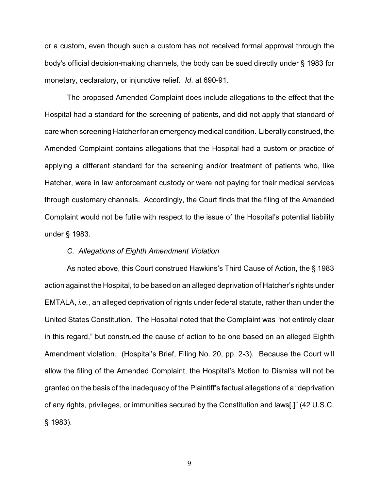or a custom, even though such a custom has not received formal approval through the body's official decision-making channels, the body can be sued directly under § 1983 for monetary, declaratory, or injunctive relief. *Id*. at 690-91.

The proposed Amended Complaint does include allegations to the effect that the Hospital had a standard for the screening of patients, and did not apply that standard of care when screening Hatcher for an emergency medical condition. Liberally construed, the Amended Complaint contains allegations that the Hospital had a custom or practice of applying a different standard for the screening and/or treatment of patients who, like Hatcher, were in law enforcement custody or were not paying for their medical services through customary channels. Accordingly, the Court finds that the filing of the Amended Complaint would not be futile with respect to the issue of the Hospital's potential liability under § 1983.

#### *C. Allegations of Eighth Amendment Violation*

As noted above, this Court construed Hawkins's Third Cause of Action, the § 1983 action against the Hospital, to be based on an alleged deprivation of Hatcher's rights under EMTALA, *i.e.*, an alleged deprivation of rights under federal statute, rather than under the United States Constitution. The Hospital noted that the Complaint was "not entirely clear in this regard," but construed the cause of action to be one based on an alleged Eighth Amendment violation. (Hospital's Brief, Filing No. 20, pp. 2-3). Because the Court will allow the filing of the Amended Complaint, the Hospital's Motion to Dismiss will not be granted on the basis of the inadequacy of the Plaintiff's factual allegations of a "deprivation of any rights, privileges, or immunities secured by the Constitution and laws[.]" (42 U.S.C. § 1983).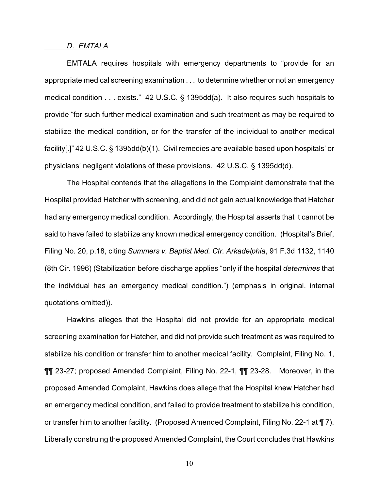#### *D. EMTALA*

EMTALA requires hospitals with emergency departments to "provide for an appropriate medical screening examination . . . to determine whether or not an emergency medical condition . . . exists." 42 U.S.C. § 1395dd(a). It also requires such hospitals to provide "for such further medical examination and such treatment as may be required to stabilize the medical condition, or for the transfer of the individual to another medical facility[.]" 42 U.S.C. § 1395dd(b)(1). Civil remedies are available based upon hospitals' or physicians' negligent violations of these provisions. 42 U.S.C. § 1395dd(d).

The Hospital contends that the allegations in the Complaint demonstrate that the Hospital provided Hatcher with screening, and did not gain actual knowledge that Hatcher had any emergency medical condition. Accordingly, the Hospital asserts that it cannot be said to have failed to stabilize any known medical emergency condition. (Hospital's Brief, Filing No. 20, p.18, citing *Summers v. Baptist Med. Ctr. Arkadelphia*, 91 F.3d 1132, 1140 (8th Cir. 1996) (Stabilization before discharge applies "only if the hospital *determines* that the individual has an emergency medical condition.") (emphasis in original, internal quotations omitted)).

Hawkins alleges that the Hospital did not provide for an appropriate medical screening examination for Hatcher, and did not provide such treatment as was required to stabilize his condition or transfer him to another medical facility. Complaint, Filing No. 1, ¶¶ 23-27; proposed Amended Complaint, Filing No. 22-1, ¶¶ 23-28. Moreover, in the proposed Amended Complaint, Hawkins does allege that the Hospital knew Hatcher had an emergency medical condition, and failed to provide treatment to stabilize his condition, or transfer him to another facility. (Proposed Amended Complaint, Filing No. 22-1 at ¶ 7). Liberally construing the proposed Amended Complaint, the Court concludes that Hawkins